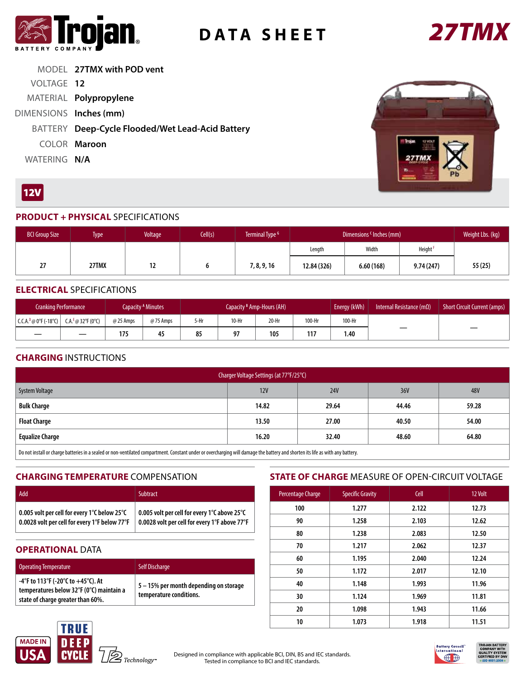

# **DATA SHEET** *27TMX*



MODEL **27TMX with POD vent** VOLTAGE **12** MATERIAL **Polypropylene** DIMENSIONS **Inches (mm)** BATTERY **Deep-Cycle Flooded/Wet Lead-Acid Battery** COLOR **Maroon** WATERING **N/A**



## $12V$

#### **PRODUCT + PHYSICAL** SPECIFICATIONS

| <b>BCI Group Size</b> | Type <sup>1</sup> | Voltage | Cell(s) | Terminal Type <sup>G</sup> | Dimensions <sup>c</sup> Inches (mm) |           |           | Weight Lbs. (kg) |
|-----------------------|-------------------|---------|---------|----------------------------|-------------------------------------|-----------|-----------|------------------|
|                       |                   |         |         |                            | Length                              | Width     | Height    |                  |
| 27                    | 27TMX             | 14      |         | 7, 8, 9, 16                | 12.84 (326)                         | 6.60(168) | 9.74(247) | 55 (25)          |

#### **ELECTRICAL** SPECIFICATIONS

| Cranking Performance                           |  |           | Capacity <sup>A</sup> Minutes | Capacity <sup>B</sup> Amp-Hours (AH) |         |       |        | Energy (kWh) | Internal Resistance ( $m\Omega$ ) | Short Circuit Current (amps) |
|------------------------------------------------|--|-----------|-------------------------------|--------------------------------------|---------|-------|--------|--------------|-----------------------------------|------------------------------|
| $  C.C.A.D @ 0°F (-18°C)   C.A.E @ 32°F (0°C)$ |  | @ 25 Amps | @75 Amps                      | 5-Hr                                 | $10-Hr$ | 20-Hr | 100-Hr | 100-Hr       |                                   |                              |
|                                                |  | 175       | 45                            | 85                                   | 97      | 105   | 117    | 1.40         |                                   |                              |

#### **CHARGING** INSTRUCTIONS

| Charger Voltage Settings (at 77°F/25°C)                                                                                                                                        |                |            |       |       |  |  |  |
|--------------------------------------------------------------------------------------------------------------------------------------------------------------------------------|----------------|------------|-------|-------|--|--|--|
| System Voltage                                                                                                                                                                 | 12V            | <b>24V</b> | 36V   | 48V   |  |  |  |
| <b>Bulk Charge</b>                                                                                                                                                             | 14.82          | 29.64      | 44.46 | 59.28 |  |  |  |
| <b>Float Charge</b>                                                                                                                                                            | 27.00<br>13.50 |            | 40.50 | 54.00 |  |  |  |
| <b>Equalize Charge</b>                                                                                                                                                         | 32.40<br>16.20 |            | 48.60 | 64.80 |  |  |  |
| Do not inctall ar charge batteriac in a coaled or non-ventilated compartment. Constant under or oversharring will damage the battery and sherten its life as with any battery. |                |            |       |       |  |  |  |

1ll or charge batteries in a sealed or non-ventilated compartment. Constant under or overcharging will damage the battery and shorten its life as with any battery.

#### **CHARGING TEMPERATURE** COMPENSATION

| Add                                                        | <b>Subtract</b>                               |
|------------------------------------------------------------|-----------------------------------------------|
| $\mid$ 0.005 volt per cell for every 1°C below 25°C $\mid$ | 0.005 volt per cell for every 1°C above 25°C  |
| $\mid$ 0.0028 volt per cell for every 1°F below 77°F       | 0.0028 volt per cell for every 1°F above 77°F |

#### **OPERATIONAL DATA**

| <b>Operating Temperature</b>                                                                                           | <b>Self Discharge</b>                                             |
|------------------------------------------------------------------------------------------------------------------------|-------------------------------------------------------------------|
| -4°F to 113°F (-20°C to $+45$ °C). At<br>temperatures below 32°F (0°C) maintain a<br>state of charge greater than 60%. | 5 - 15% per month depending on storage<br>temperature conditions. |

### **STATE OF CHARGE** MEASURE OF OPEN-CIRCUIT VOLTAGE

| Percentage Charge | <b>Specific Gravity</b> | Cell  | 12 Volt |  |  |
|-------------------|-------------------------|-------|---------|--|--|
| 100               | 1.277                   |       | 12.73   |  |  |
| 90                | 1.258                   |       | 12.62   |  |  |
| 80                | 1.238                   |       | 12.50   |  |  |
| 70                | 1.217                   | 2.062 | 12.37   |  |  |
| 60                | 1.195                   | 2.040 | 12.24   |  |  |
| 50                | 1.172                   | 2.017 | 12.10   |  |  |
| 40                | 1.148                   | 1.993 | 11.96   |  |  |
| 30                | 1.124                   | 1.969 | 11.81   |  |  |
| 20                | 1.098                   | 1.943 | 11.66   |  |  |
| 10                | 1.073                   | 1.918 | 11.51   |  |  |